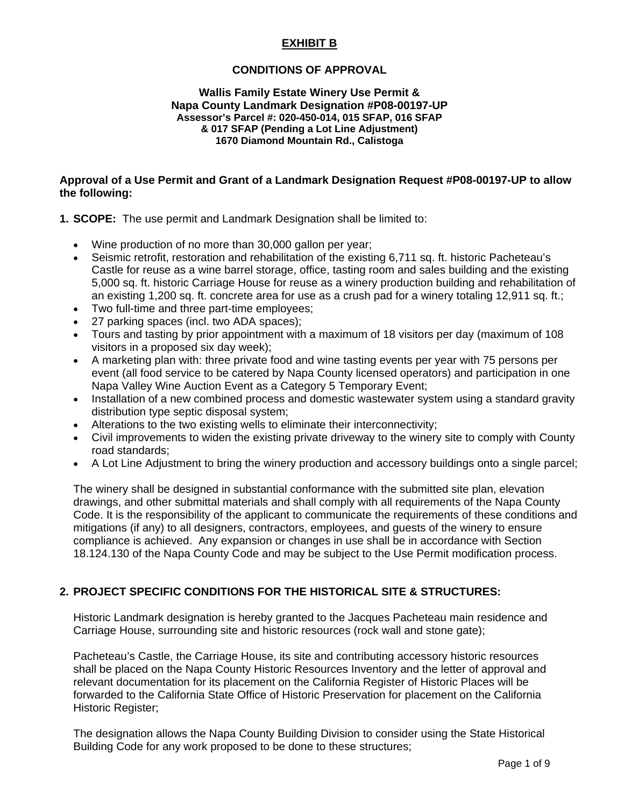# **CONDITIONS OF APPROVAL**

#### **Wallis Family Estate Winery Use Permit & Napa County Landmark Designation #P08-00197-UP Assessor's Parcel #: 020-450-014, 015 SFAP, 016 SFAP & 017 SFAP (Pending a Lot Line Adjustment) 1670 Diamond Mountain Rd., Calistoga**

# **Approval of a Use Permit and Grant of a Landmark Designation Request #P08-00197-UP to allow the following:**

**1. SCOPE:** The use permit and Landmark Designation shall be limited to:

- Wine production of no more than 30,000 gallon per year;
- Seismic retrofit, restoration and rehabilitation of the existing 6,711 sq. ft. historic Pacheteau's Castle for reuse as a wine barrel storage, office, tasting room and sales building and the existing 5,000 sq. ft. historic Carriage House for reuse as a winery production building and rehabilitation of an existing 1,200 sq. ft. concrete area for use as a crush pad for a winery totaling 12,911 sq. ft.;
- Two full-time and three part-time employees;
- 27 parking spaces (incl. two ADA spaces);
- Tours and tasting by prior appointment with a maximum of 18 visitors per day (maximum of 108 visitors in a proposed six day week);
- A marketing plan with: three private food and wine tasting events per year with 75 persons per event (all food service to be catered by Napa County licensed operators) and participation in one Napa Valley Wine Auction Event as a Category 5 Temporary Event;
- Installation of a new combined process and domestic wastewater system using a standard gravity distribution type septic disposal system;
- Alterations to the two existing wells to eliminate their interconnectivity;
- Civil improvements to widen the existing private driveway to the winery site to comply with County road standards;
- A Lot Line Adjustment to bring the winery production and accessory buildings onto a single parcel;

The winery shall be designed in substantial conformance with the submitted site plan, elevation drawings, and other submittal materials and shall comply with all requirements of the Napa County Code. It is the responsibility of the applicant to communicate the requirements of these conditions and mitigations (if any) to all designers, contractors, employees, and guests of the winery to ensure compliance is achieved. Any expansion or changes in use shall be in accordance with Section 18.124.130 of the Napa County Code and may be subject to the Use Permit modification process.

# **2. PROJECT SPECIFIC CONDITIONS FOR THE HISTORICAL SITE & STRUCTURES:**

Historic Landmark designation is hereby granted to the Jacques Pacheteau main residence and Carriage House, surrounding site and historic resources (rock wall and stone gate);

Pacheteau's Castle, the Carriage House, its site and contributing accessory historic resources shall be placed on the Napa County Historic Resources Inventory and the letter of approval and relevant documentation for its placement on the California Register of Historic Places will be forwarded to the California State Office of Historic Preservation for placement on the California Historic Register;

The designation allows the Napa County Building Division to consider using the State Historical Building Code for any work proposed to be done to these structures;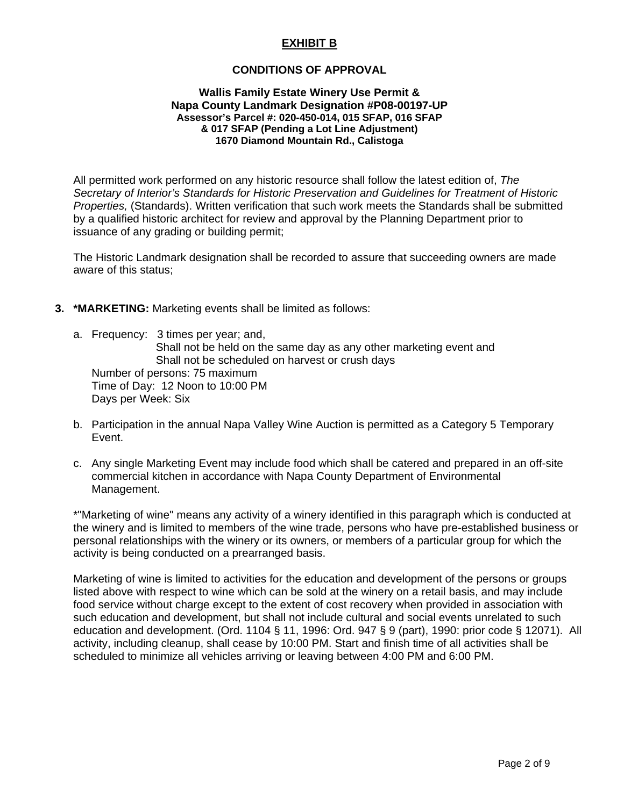## **CONDITIONS OF APPROVAL**

#### **Wallis Family Estate Winery Use Permit & Napa County Landmark Designation #P08-00197-UP Assessor's Parcel #: 020-450-014, 015 SFAP, 016 SFAP & 017 SFAP (Pending a Lot Line Adjustment) 1670 Diamond Mountain Rd., Calistoga**

All permitted work performed on any historic resource shall follow the latest edition of, *The Secretary of Interior's Standards for Historic Preservation and Guidelines for Treatment of Historic Properties,* (Standards). Written verification that such work meets the Standards shall be submitted by a qualified historic architect for review and approval by the Planning Department prior to issuance of any grading or building permit;

The Historic Landmark designation shall be recorded to assure that succeeding owners are made aware of this status;

- **3. \*MARKETING:** Marketing events shall be limited as follows:
	- a. Frequency: 3 times per year; and, Shall not be held on the same day as any other marketing event and Shall not be scheduled on harvest or crush days Number of persons: 75 maximum Time of Day: 12 Noon to 10:00 PM Days per Week: Six
	- b. Participation in the annual Napa Valley Wine Auction is permitted as a Category 5 Temporary Event.
	- c. Any single Marketing Event may include food which shall be catered and prepared in an off-site commercial kitchen in accordance with Napa County Department of Environmental Management.

\*"Marketing of wine" means any activity of a winery identified in this paragraph which is conducted at the winery and is limited to members of the wine trade, persons who have pre-established business or personal relationships with the winery or its owners, or members of a particular group for which the activity is being conducted on a prearranged basis.

Marketing of wine is limited to activities for the education and development of the persons or groups listed above with respect to wine which can be sold at the winery on a retail basis, and may include food service without charge except to the extent of cost recovery when provided in association with such education and development, but shall not include cultural and social events unrelated to such education and development. (Ord. 1104 § 11, 1996: Ord. 947 § 9 (part), 1990: prior code § 12071). All activity, including cleanup, shall cease by 10:00 PM. Start and finish time of all activities shall be scheduled to minimize all vehicles arriving or leaving between 4:00 PM and 6:00 PM.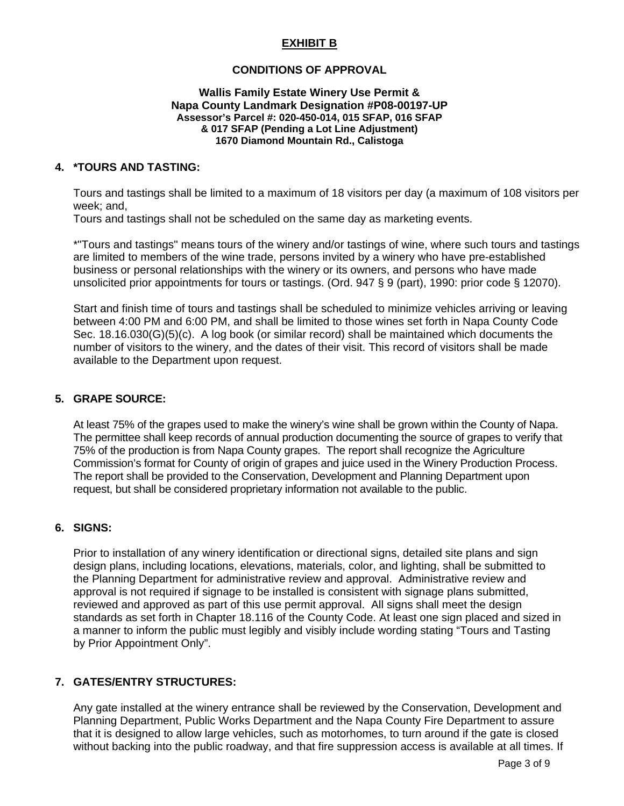## **CONDITIONS OF APPROVAL**

#### **Wallis Family Estate Winery Use Permit & Napa County Landmark Designation #P08-00197-UP Assessor's Parcel #: 020-450-014, 015 SFAP, 016 SFAP & 017 SFAP (Pending a Lot Line Adjustment) 1670 Diamond Mountain Rd., Calistoga**

## **4. \*TOURS AND TASTING:**

Tours and tastings shall be limited to a maximum of 18 visitors per day (a maximum of 108 visitors per week; and,

Tours and tastings shall not be scheduled on the same day as marketing events.

\*"Tours and tastings" means tours of the winery and/or tastings of wine, where such tours and tastings are limited to members of the wine trade, persons invited by a winery who have pre-established business or personal relationships with the winery or its owners, and persons who have made unsolicited prior appointments for tours or tastings. (Ord. 947 § 9 (part), 1990: prior code § 12070).

Start and finish time of tours and tastings shall be scheduled to minimize vehicles arriving or leaving between 4:00 PM and 6:00 PM, and shall be limited to those wines set forth in Napa County Code Sec. 18.16.030(G)(5)(c). A log book (or similar record) shall be maintained which documents the number of visitors to the winery, and the dates of their visit. This record of visitors shall be made available to the Department upon request.

## **5. GRAPE SOURCE:**

At least 75% of the grapes used to make the winery's wine shall be grown within the County of Napa. The permittee shall keep records of annual production documenting the source of grapes to verify that 75% of the production is from Napa County grapes. The report shall recognize the Agriculture Commission's format for County of origin of grapes and juice used in the Winery Production Process. The report shall be provided to the Conservation, Development and Planning Department upon request, but shall be considered proprietary information not available to the public.

## **6. SIGNS:**

Prior to installation of any winery identification or directional signs, detailed site plans and sign design plans, including locations, elevations, materials, color, and lighting, shall be submitted to the Planning Department for administrative review and approval. Administrative review and approval is not required if signage to be installed is consistent with signage plans submitted, reviewed and approved as part of this use permit approval. All signs shall meet the design standards as set forth in Chapter 18.116 of the County Code. At least one sign placed and sized in a manner to inform the public must legibly and visibly include wording stating "Tours and Tasting by Prior Appointment Only".

# **7. GATES/ENTRY STRUCTURES:**

Any gate installed at the winery entrance shall be reviewed by the Conservation, Development and Planning Department, Public Works Department and the Napa County Fire Department to assure that it is designed to allow large vehicles, such as motorhomes, to turn around if the gate is closed without backing into the public roadway, and that fire suppression access is available at all times. If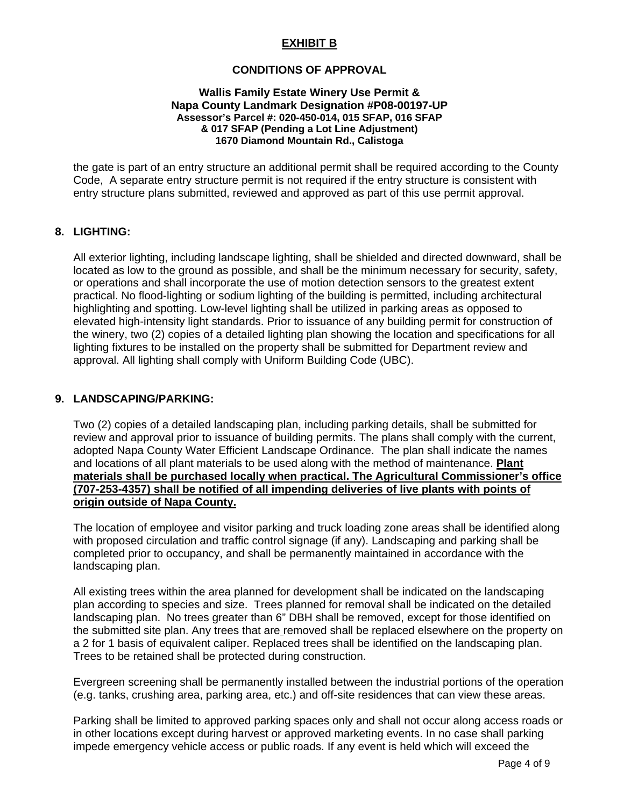## **CONDITIONS OF APPROVAL**

#### **Wallis Family Estate Winery Use Permit & Napa County Landmark Designation #P08-00197-UP Assessor's Parcel #: 020-450-014, 015 SFAP, 016 SFAP & 017 SFAP (Pending a Lot Line Adjustment) 1670 Diamond Mountain Rd., Calistoga**

the gate is part of an entry structure an additional permit shall be required according to the County Code, A separate entry structure permit is not required if the entry structure is consistent with entry structure plans submitted, reviewed and approved as part of this use permit approval.

## **8. LIGHTING:**

All exterior lighting, including landscape lighting, shall be shielded and directed downward, shall be located as low to the ground as possible, and shall be the minimum necessary for security, safety, or operations and shall incorporate the use of motion detection sensors to the greatest extent practical. No flood-lighting or sodium lighting of the building is permitted, including architectural highlighting and spotting. Low-level lighting shall be utilized in parking areas as opposed to elevated high-intensity light standards. Prior to issuance of any building permit for construction of the winery, two (2) copies of a detailed lighting plan showing the location and specifications for all lighting fixtures to be installed on the property shall be submitted for Department review and approval. All lighting shall comply with Uniform Building Code (UBC).

## **9. LANDSCAPING/PARKING:**

Two (2) copies of a detailed landscaping plan, including parking details, shall be submitted for review and approval prior to issuance of building permits. The plans shall comply with the current, adopted Napa County Water Efficient Landscape Ordinance. The plan shall indicate the names and locations of all plant materials to be used along with the method of maintenance. **Plant materials shall be purchased locally when practical. The Agricultural Commissioner's office (707-253-4357) shall be notified of all impending deliveries of live plants with points of origin outside of Napa County.** 

The location of employee and visitor parking and truck loading zone areas shall be identified along with proposed circulation and traffic control signage (if any). Landscaping and parking shall be completed prior to occupancy, and shall be permanently maintained in accordance with the landscaping plan.

All existing trees within the area planned for development shall be indicated on the landscaping plan according to species and size. Trees planned for removal shall be indicated on the detailed landscaping plan. No trees greater than 6" DBH shall be removed, except for those identified on the submitted site plan. Any trees that are removed shall be replaced elsewhere on the property on a 2 for 1 basis of equivalent caliper. Replaced trees shall be identified on the landscaping plan. Trees to be retained shall be protected during construction.

Evergreen screening shall be permanently installed between the industrial portions of the operation (e.g. tanks, crushing area, parking area, etc.) and off-site residences that can view these areas.

Parking shall be limited to approved parking spaces only and shall not occur along access roads or in other locations except during harvest or approved marketing events. In no case shall parking impede emergency vehicle access or public roads. If any event is held which will exceed the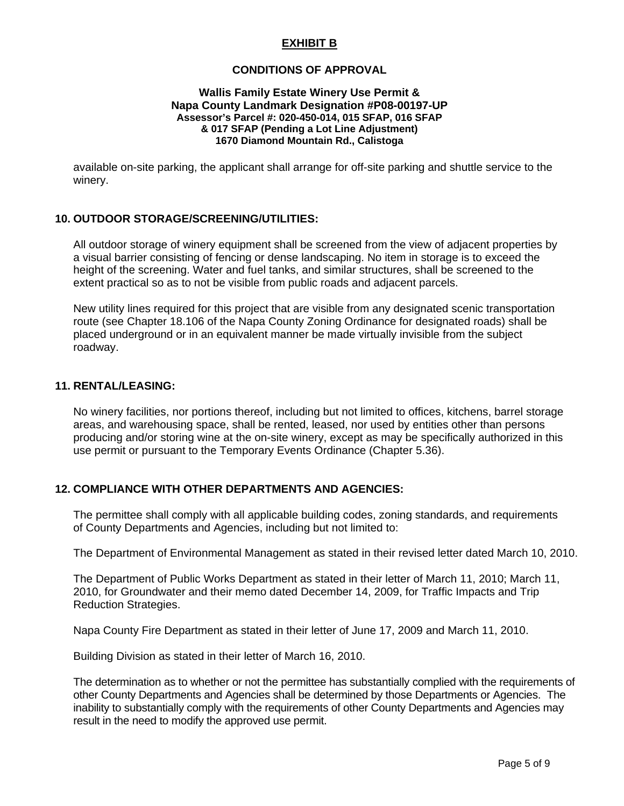## **CONDITIONS OF APPROVAL**

#### **Wallis Family Estate Winery Use Permit & Napa County Landmark Designation #P08-00197-UP Assessor's Parcel #: 020-450-014, 015 SFAP, 016 SFAP & 017 SFAP (Pending a Lot Line Adjustment) 1670 Diamond Mountain Rd., Calistoga**

available on-site parking, the applicant shall arrange for off-site parking and shuttle service to the winery.

## **10. OUTDOOR STORAGE/SCREENING/UTILITIES:**

All outdoor storage of winery equipment shall be screened from the view of adjacent properties by a visual barrier consisting of fencing or dense landscaping. No item in storage is to exceed the height of the screening. Water and fuel tanks, and similar structures, shall be screened to the extent practical so as to not be visible from public roads and adjacent parcels.

New utility lines required for this project that are visible from any designated scenic transportation route (see Chapter 18.106 of the Napa County Zoning Ordinance for designated roads) shall be placed underground or in an equivalent manner be made virtually invisible from the subject roadway.

## **11. RENTAL/LEASING:**

No winery facilities, nor portions thereof, including but not limited to offices, kitchens, barrel storage areas, and warehousing space, shall be rented, leased, nor used by entities other than persons producing and/or storing wine at the on-site winery, except as may be specifically authorized in this use permit or pursuant to the Temporary Events Ordinance (Chapter 5.36).

## **12. COMPLIANCE WITH OTHER DEPARTMENTS AND AGENCIES:**

The permittee shall comply with all applicable building codes, zoning standards, and requirements of County Departments and Agencies, including but not limited to:

The Department of Environmental Management as stated in their revised letter dated March 10, 2010.

The Department of Public Works Department as stated in their letter of March 11, 2010; March 11, 2010, for Groundwater and their memo dated December 14, 2009, for Traffic Impacts and Trip Reduction Strategies.

Napa County Fire Department as stated in their letter of June 17, 2009 and March 11, 2010.

Building Division as stated in their letter of March 16, 2010.

 The determination as to whether or not the permittee has substantially complied with the requirements of other County Departments and Agencies shall be determined by those Departments or Agencies. The inability to substantially comply with the requirements of other County Departments and Agencies may result in the need to modify the approved use permit.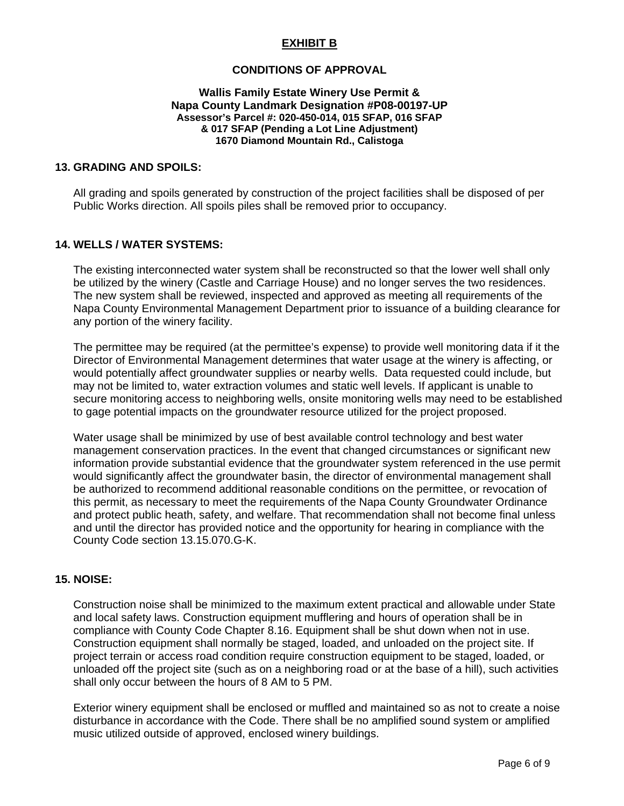## **CONDITIONS OF APPROVAL**

#### **Wallis Family Estate Winery Use Permit & Napa County Landmark Designation #P08-00197-UP Assessor's Parcel #: 020-450-014, 015 SFAP, 016 SFAP & 017 SFAP (Pending a Lot Line Adjustment) 1670 Diamond Mountain Rd., Calistoga**

#### **13. GRADING AND SPOILS:**

All grading and spoils generated by construction of the project facilities shall be disposed of per Public Works direction. All spoils piles shall be removed prior to occupancy.

## **14. WELLS / WATER SYSTEMS:**

The existing interconnected water system shall be reconstructed so that the lower well shall only be utilized by the winery (Castle and Carriage House) and no longer serves the two residences. The new system shall be reviewed, inspected and approved as meeting all requirements of the Napa County Environmental Management Department prior to issuance of a building clearance for any portion of the winery facility.

The permittee may be required (at the permittee's expense) to provide well monitoring data if it the Director of Environmental Management determines that water usage at the winery is affecting, or would potentially affect groundwater supplies or nearby wells. Data requested could include, but may not be limited to, water extraction volumes and static well levels. If applicant is unable to secure monitoring access to neighboring wells, onsite monitoring wells may need to be established to gage potential impacts on the groundwater resource utilized for the project proposed.

Water usage shall be minimized by use of best available control technology and best water management conservation practices. In the event that changed circumstances or significant new information provide substantial evidence that the groundwater system referenced in the use permit would significantly affect the groundwater basin, the director of environmental management shall be authorized to recommend additional reasonable conditions on the permittee, or revocation of this permit, as necessary to meet the requirements of the Napa County Groundwater Ordinance and protect public heath, safety, and welfare. That recommendation shall not become final unless and until the director has provided notice and the opportunity for hearing in compliance with the County Code section 13.15.070.G-K.

## **15. NOISE:**

Construction noise shall be minimized to the maximum extent practical and allowable under State and local safety laws. Construction equipment mufflering and hours of operation shall be in compliance with County Code Chapter 8.16. Equipment shall be shut down when not in use. Construction equipment shall normally be staged, loaded, and unloaded on the project site. If project terrain or access road condition require construction equipment to be staged, loaded, or unloaded off the project site (such as on a neighboring road or at the base of a hill), such activities shall only occur between the hours of 8 AM to 5 PM.

Exterior winery equipment shall be enclosed or muffled and maintained so as not to create a noise disturbance in accordance with the Code. There shall be no amplified sound system or amplified music utilized outside of approved, enclosed winery buildings.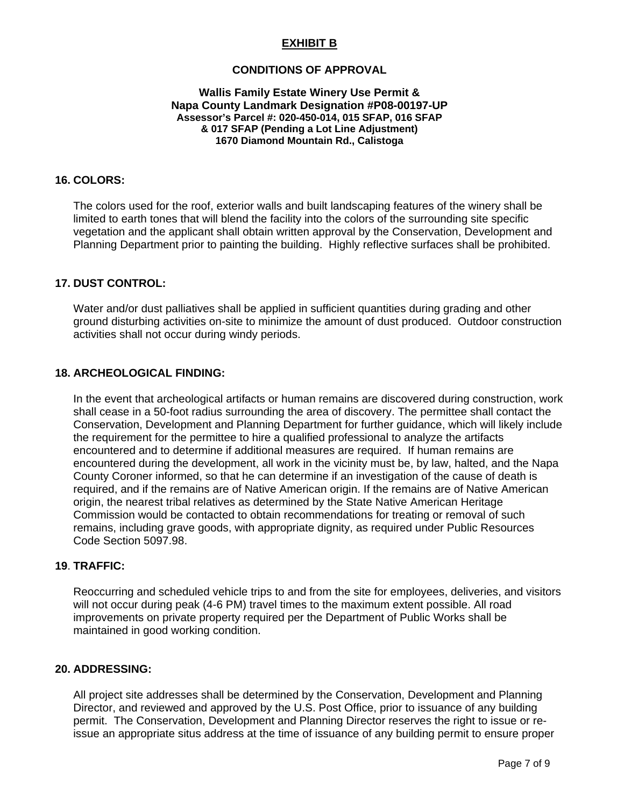## **CONDITIONS OF APPROVAL**

#### **Wallis Family Estate Winery Use Permit & Napa County Landmark Designation #P08-00197-UP Assessor's Parcel #: 020-450-014, 015 SFAP, 016 SFAP & 017 SFAP (Pending a Lot Line Adjustment) 1670 Diamond Mountain Rd., Calistoga**

### **16. COLORS:**

 The colors used for the roof, exterior walls and built landscaping features of the winery shall be limited to earth tones that will blend the facility into the colors of the surrounding site specific vegetation and the applicant shall obtain written approval by the Conservation, Development and Planning Department prior to painting the building. Highly reflective surfaces shall be prohibited.

## **17. DUST CONTROL:**

 Water and/or dust palliatives shall be applied in sufficient quantities during grading and other ground disturbing activities on-site to minimize the amount of dust produced. Outdoor construction activities shall not occur during windy periods.

#### **18. ARCHEOLOGICAL FINDING:**

In the event that archeological artifacts or human remains are discovered during construction, work shall cease in a 50-foot radius surrounding the area of discovery. The permittee shall contact the Conservation, Development and Planning Department for further guidance, which will likely include the requirement for the permittee to hire a qualified professional to analyze the artifacts encountered and to determine if additional measures are required. If human remains are encountered during the development, all work in the vicinity must be, by law, halted, and the Napa County Coroner informed, so that he can determine if an investigation of the cause of death is required, and if the remains are of Native American origin. If the remains are of Native American origin, the nearest tribal relatives as determined by the State Native American Heritage Commission would be contacted to obtain recommendations for treating or removal of such remains, including grave goods, with appropriate dignity, as required under Public Resources Code Section 5097.98.

#### **19**. **TRAFFIC:**

Reoccurring and scheduled vehicle trips to and from the site for employees, deliveries, and visitors will not occur during peak (4-6 PM) travel times to the maximum extent possible. All road improvements on private property required per the Department of Public Works shall be maintained in good working condition.

#### **20. ADDRESSING:**

All project site addresses shall be determined by the Conservation, Development and Planning Director, and reviewed and approved by the U.S. Post Office, prior to issuance of any building permit. The Conservation, Development and Planning Director reserves the right to issue or reissue an appropriate situs address at the time of issuance of any building permit to ensure proper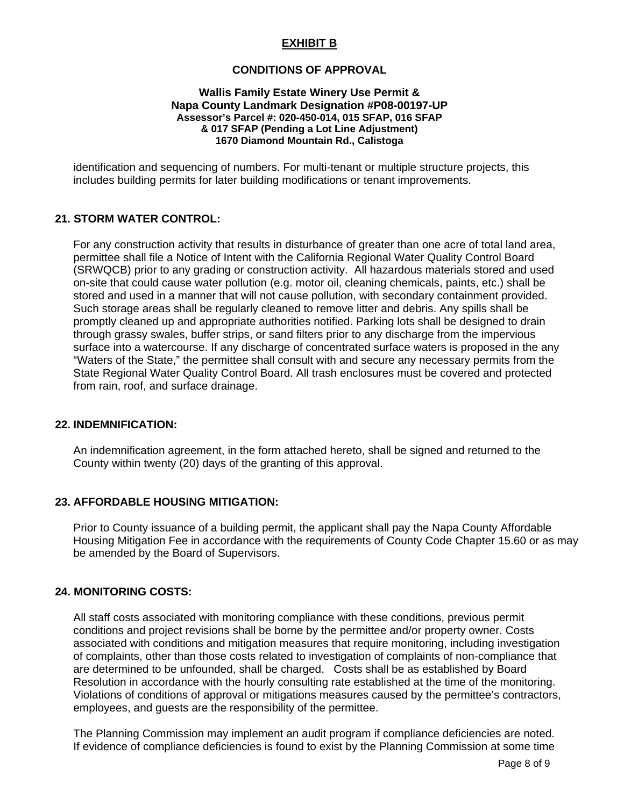## **CONDITIONS OF APPROVAL**

#### **Wallis Family Estate Winery Use Permit & Napa County Landmark Designation #P08-00197-UP Assessor's Parcel #: 020-450-014, 015 SFAP, 016 SFAP & 017 SFAP (Pending a Lot Line Adjustment) 1670 Diamond Mountain Rd., Calistoga**

identification and sequencing of numbers. For multi-tenant or multiple structure projects, this includes building permits for later building modifications or tenant improvements.

# **21. STORM WATER CONTROL:**

For any construction activity that results in disturbance of greater than one acre of total land area, permittee shall file a Notice of Intent with the California Regional Water Quality Control Board (SRWQCB) prior to any grading or construction activity. All hazardous materials stored and used on-site that could cause water pollution (e.g. motor oil, cleaning chemicals, paints, etc.) shall be stored and used in a manner that will not cause pollution, with secondary containment provided. Such storage areas shall be regularly cleaned to remove litter and debris. Any spills shall be promptly cleaned up and appropriate authorities notified. Parking lots shall be designed to drain through grassy swales, buffer strips, or sand filters prior to any discharge from the impervious surface into a watercourse. If any discharge of concentrated surface waters is proposed in the any "Waters of the State," the permittee shall consult with and secure any necessary permits from the State Regional Water Quality Control Board. All trash enclosures must be covered and protected from rain, roof, and surface drainage.

## **22. INDEMNIFICATION:**

An indemnification agreement, in the form attached hereto, shall be signed and returned to the County within twenty (20) days of the granting of this approval.

## **23. AFFORDABLE HOUSING MITIGATION:**

 Prior to County issuance of a building permit, the applicant shall pay the Napa County Affordable Housing Mitigation Fee in accordance with the requirements of County Code Chapter 15.60 or as may be amended by the Board of Supervisors.

## **24. MONITORING COSTS:**

All staff costs associated with monitoring compliance with these conditions, previous permit conditions and project revisions shall be borne by the permittee and/or property owner. Costs associated with conditions and mitigation measures that require monitoring, including investigation of complaints, other than those costs related to investigation of complaints of non-compliance that are determined to be unfounded, shall be charged. Costs shall be as established by Board Resolution in accordance with the hourly consulting rate established at the time of the monitoring. Violations of conditions of approval or mitigations measures caused by the permittee's contractors, employees, and guests are the responsibility of the permittee.

The Planning Commission may implement an audit program if compliance deficiencies are noted. If evidence of compliance deficiencies is found to exist by the Planning Commission at some time